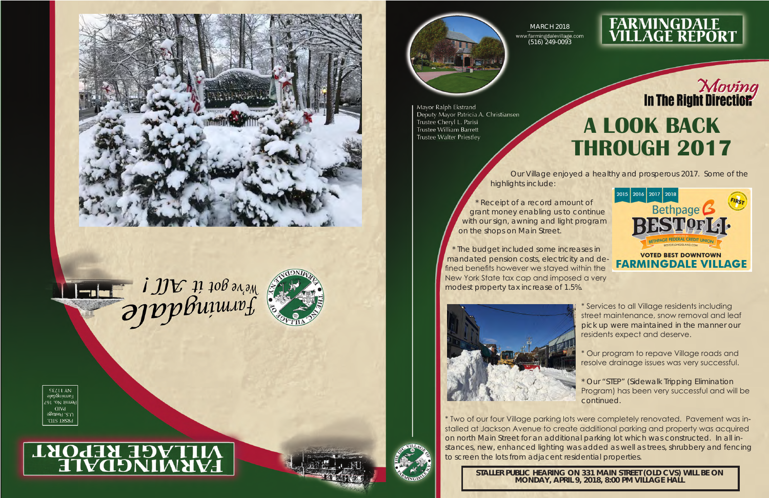



# **VILLAGE REPORT**



Mayor Ralph Ekstrand Deputy Mayor Patricia A. Christiansen Trustee Cheryl L. Parisi Trustee William Barrett **Trustee Walter Priestley** 

highlights include:



## **FARMINGDALE<br>VILLAGE REPORT**

Our Village enjoyed a healthy and prosperous 2017. Some of the



\* Receipt of a record amount of grant money enabling us to continue with our sign, awning and light program on the shops on Main Street.

\* The budget included some increases in mandated pension costs, electricity and defined benefits however we stayed within the New York State tax cap and imposed a very modest property tax increase of 1.5%.



\* Services to all Village residents including street maintenance, snow removal and leaf pick up were maintained in the manner our residents expect and deserve.

### Moving<br>In The Right Direction **A LOOK BACK THROUGH 2017**

\* Our program to repave Village roads and resolve drainage issues was very successful.

\* Our "STEP" (Sidewalk Tripping Elimination Program) has been very successful and will be continued.

\* Two of our four Village parking lots were completely renovated. Pavement was installed at Jackson Avenue to create additional parking and property was acquired on north Main Street for an additional parking lot which was constructed. In all instances, new, enhanced lighting was added as well as trees, shrubbery and fencing to screen the lots from adjacent residential properties.

**STALLER PUBLIC HEARING ON 331 MAIN STREET (OLD CVS) WILL BE ON MONDAY, APRIL 9, 2018, 8:00 PM VILLAGE HALL**